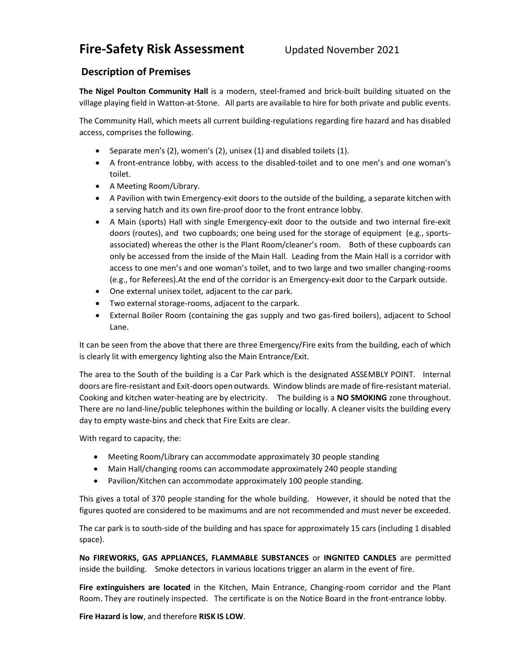# Fire-Safety Risk Assessment Updated November 2021

## Description of Premises

The Nigel Poulton Community Hall is a modern, steel-framed and brick-built building situated on the village playing field in Watton-at-Stone. All parts are available to hire for both private and public events.

The Community Hall, which meets all current building-regulations regarding fire hazard and has disabled access, comprises the following.

- Separate men's (2), women's (2), unisex (1) and disabled toilets (1).
- A front-entrance lobby, with access to the disabled-toilet and to one men's and one woman's toilet.
- A Meeting Room/Library.
- A Pavilion with twin Emergency-exit doors to the outside of the building, a separate kitchen with a serving hatch and its own fire-proof door to the front entrance lobby.
- A Main (sports) Hall with single Emergency-exit door to the outside and two internal fire-exit doors (routes), and two cupboards; one being used for the storage of equipment (e.g., sportsassociated) whereas the other is the Plant Room/cleaner's room. Both of these cupboards can only be accessed from the inside of the Main Hall. Leading from the Main Hall is a corridor with access to one men's and one woman's toilet, and to two large and two smaller changing-rooms (e.g., for Referees).At the end of the corridor is an Emergency-exit door to the Carpark outside.
- One external unisex toilet, adjacent to the car park.
- Two external storage-rooms, adjacent to the carpark.
- External Boiler Room (containing the gas supply and two gas-fired boilers), adjacent to School Lane.

It can be seen from the above that there are three Emergency/Fire exits from the building, each of which is clearly lit with emergency lighting also the Main Entrance/Exit.

The area to the South of the building is a Car Park which is the designated ASSEMBLY POINT. Internal doors are fire-resistant and Exit-doors open outwards. Window blinds are made of fire-resistant material. Cooking and kitchen water-heating are by electricity. The building is a NO SMOKING zone throughout. There are no land-line/public telephones within the building or locally. A cleaner visits the building every day to empty waste-bins and check that Fire Exits are clear.

With regard to capacity, the:

- Meeting Room/Library can accommodate approximately 30 people standing
- Main Hall/changing rooms can accommodate approximately 240 people standing
- Pavilion/Kitchen can accommodate approximately 100 people standing.

This gives a total of 370 people standing for the whole building. However, it should be noted that the figures quoted are considered to be maximums and are not recommended and must never be exceeded.

The car park is to south-side of the building and has space for approximately 15 cars (including 1 disabled space).

No FIREWORKS, GAS APPLIANCES, FLAMMABLE SUBSTANCES or INGNITED CANDLES are permitted inside the building. Smoke detectors in various locations trigger an alarm in the event of fire.

Fire extinguishers are located in the Kitchen, Main Entrance, Changing-room corridor and the Plant Room. They are routinely inspected. The certificate is on the Notice Board in the front-entrance lobby.

Fire Hazard is low, and therefore RISK IS LOW.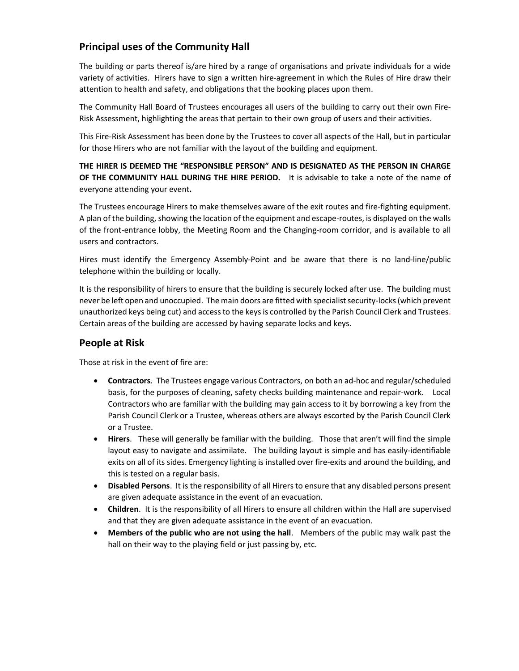# Principal uses of the Community Hall

The building or parts thereof is/are hired by a range of organisations and private individuals for a wide variety of activities. Hirers have to sign a written hire-agreement in which the Rules of Hire draw their attention to health and safety, and obligations that the booking places upon them.

The Community Hall Board of Trustees encourages all users of the building to carry out their own Fire-Risk Assessment, highlighting the areas that pertain to their own group of users and their activities.

This Fire-Risk Assessment has been done by the Trustees to cover all aspects of the Hall, but in particular for those Hirers who are not familiar with the layout of the building and equipment.

THE HIRER IS DEEMED THE "RESPONSIBLE PERSON" AND IS DESIGNATED AS THE PERSON IN CHARGE OF THE COMMUNITY HALL DURING THE HIRE PERIOD. It is advisable to take a note of the name of everyone attending your event.

The Trustees encourage Hirers to make themselves aware of the exit routes and fire-fighting equipment. A plan of the building, showing the location of the equipment and escape-routes, is displayed on the walls of the front-entrance lobby, the Meeting Room and the Changing-room corridor, and is available to all users and contractors.

Hires must identify the Emergency Assembly-Point and be aware that there is no land-line/public telephone within the building or locally.

It is the responsibility of hirers to ensure that the building is securely locked after use. The building must never be left open and unoccupied. The main doors are fitted with specialist security-locks (which prevent unauthorized keys being cut) and access to the keys is controlled by the Parish Council Clerk and Trustees. Certain areas of the building are accessed by having separate locks and keys.

#### People at Risk

Those at risk in the event of fire are:

- Contractors. The Trustees engage various Contractors, on both an ad-hoc and regular/scheduled basis, for the purposes of cleaning, safety checks building maintenance and repair-work. Local Contractors who are familiar with the building may gain access to it by borrowing a key from the Parish Council Clerk or a Trustee, whereas others are always escorted by the Parish Council Clerk or a Trustee.
- Hirers. These will generally be familiar with the building. Those that aren't will find the simple layout easy to navigate and assimilate. The building layout is simple and has easily-identifiable exits on all of its sides. Emergency lighting is installed over fire-exits and around the building, and this is tested on a regular basis.
- Disabled Persons. It is the responsibility of all Hirers to ensure that any disabled persons present are given adequate assistance in the event of an evacuation.
- Children. It is the responsibility of all Hirers to ensure all children within the Hall are supervised and that they are given adequate assistance in the event of an evacuation.
- Members of the public who are not using the hall. Members of the public may walk past the hall on their way to the playing field or just passing by, etc.